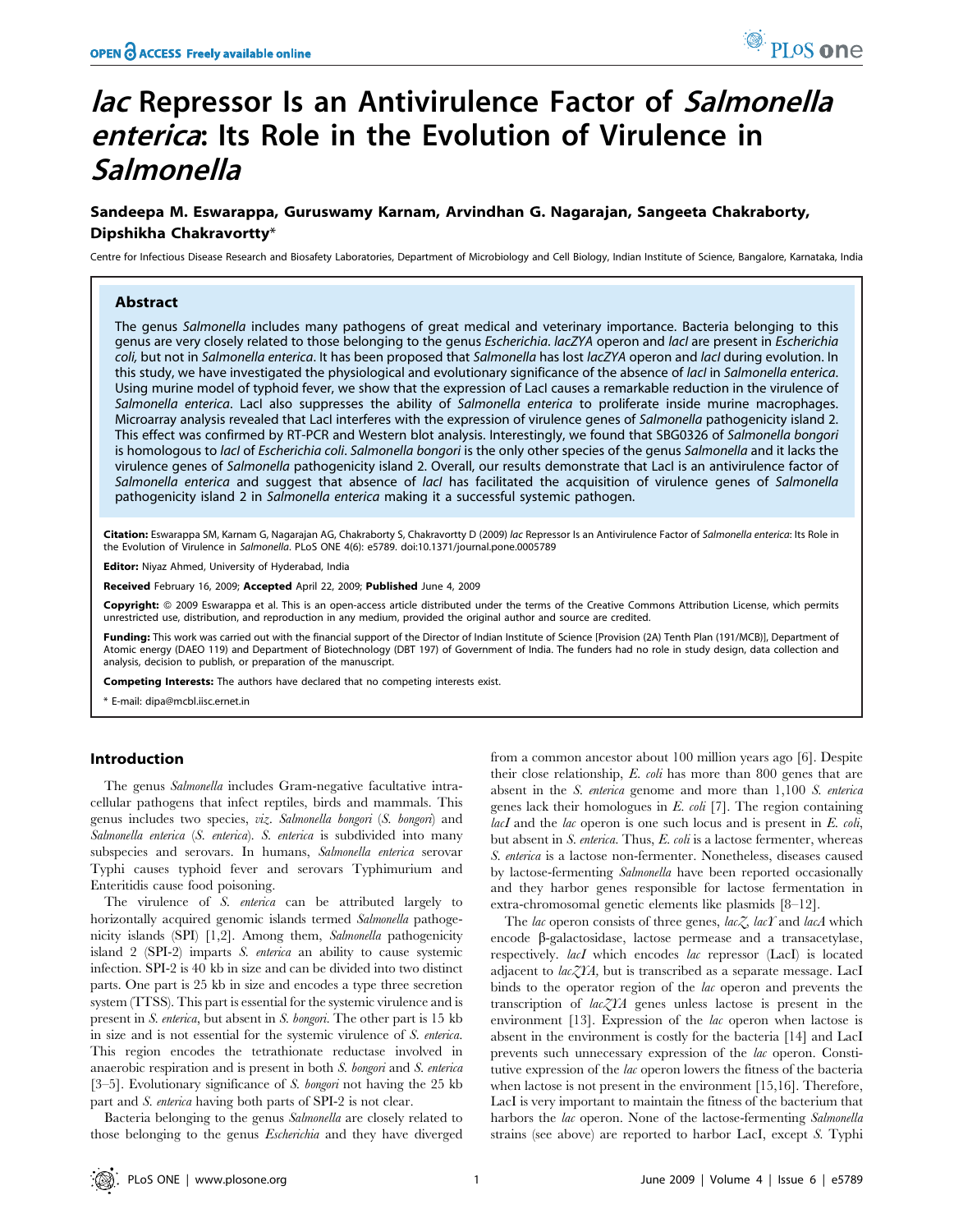# lac Repressor Is an Antivirulence Factor of Salmonella enterica: Its Role in the Evolution of Virulence in Salmonella

# Sandeepa M. Eswarappa, Guruswamy Karnam, Arvindhan G. Nagarajan, Sangeeta Chakraborty, Dipshikha Chakravortty\*

Centre for Infectious Disease Research and Biosafety Laboratories, Department of Microbiology and Cell Biology, Indian Institute of Science, Bangalore, Karnataka, India

## Abstract

The genus Salmonella includes many pathogens of great medical and veterinary importance. Bacteria belonging to this genus are very closely related to those belonging to the genus Escherichia. lacZYA operon and lacI are present in Escherichia coli, but not in Salmonella enterica. It has been proposed that Salmonella has lost lacZYA operon and lacI during evolution. In this study, we have investigated the physiological and evolutionary significance of the absence of lacI in Salmonella enterica. Using murine model of typhoid fever, we show that the expression of LacI causes a remarkable reduction in the virulence of Salmonella enterica. LacI also suppresses the ability of Salmonella enterica to proliferate inside murine macrophages. Microarray analysis revealed that LacI interferes with the expression of virulence genes of Salmonella pathogenicity island 2. This effect was confirmed by RT-PCR and Western blot analysis. Interestingly, we found that SBG0326 of Salmonella bonaori is homologous to lacI of Escherichia coli. Salmonella bongori is the only other species of the genus Salmonella and it lacks the virulence genes of Salmonella pathogenicity island 2. Overall, our results demonstrate that LacI is an antivirulence factor of Salmonella enterica and suggest that absence of lacI has facilitated the acquisition of virulence genes of Salmonella pathogenicity island 2 in Salmonella enterica making it a successful systemic pathogen.

Citation: Eswarappa SM, Karnam G, Nagarajan AG, Chakraborty S, Chakravortty D (2009) lac Repressor Is an Antivirulence Factor of Salmonella enterica: Its Role in the Evolution of Virulence in Salmonella. PLoS ONE 4(6): e5789. doi:10.1371/journal.pone.0005789

Editor: Nivaz Ahmed, University of Hyderabad, India

Received February 16, 2009; Accepted April 22, 2009; Published June 4, 2009

Copyright: @ 2009 Eswarappa et al. This is an open-access article distributed under the terms of the Creative Commons Attribution License, which permits unrestricted use, distribution, and reproduction in any medium, provided the original author and source are credited.

**Funding:** This work was carried out with the financial support of the Director of Indian Institute of Science [Provision (2A) Tenth Plan (191/MCB)], Department of Atomic energy (DAEO 119) and Department of Biotechnology (DBT 197) of Government of India. The funders had no role in study design, data collection and analysis, decision to publish, or preparation of the manuscript.

Competing Interests: The authors have declared that no competing interests exist.

\* E-mail: dipa@mcbl.iisc.ernet.in

#### Introduction

The genus Salmonella includes Gram-negative facultative intracellular pathogens that infect reptiles, birds and mammals. This genus includes two species, viz. Salmonella bongori (S. bongori) and Salmonella enterica (S. enterica). S. enterica is subdivided into many subspecies and serovars. In humans, Salmonella enterica serovar Typhi causes typhoid fever and serovars Typhimurium and Enteritidis cause food poisoning.

The virulence of S. enterica can be attributed largely to horizontally acquired genomic islands termed Salmonella pathogenicity islands (SPI) [1,2]. Among them, Salmonella pathogenicity island 2 (SPI-2) imparts S. enterica an ability to cause systemic infection. SPI-2 is 40 kb in size and can be divided into two distinct parts. One part is 25 kb in size and encodes a type three secretion system (TTSS). This part is essential for the systemic virulence and is present in S. enterica, but absent in S. bongori. The other part is 15 kb in size and is not essential for the systemic virulence of S. enterica. This region encodes the tetrathionate reductase involved in anaerobic respiration and is present in both S. bongori and S. enterica [3-5]. Evolutionary significance of S. bongon not having the 25 kb part and S. enterica having both parts of SPI-2 is not clear.

Bacteria belonging to the genus Salmonella are closely related to those belonging to the genus Escherichia and they have diverged from a common ancestor about 100 million years ago [6]. Despite their close relationship, E. coli has more than 800 genes that are absent in the S. enterica genome and more than 1,100 S. enterica genes lack their homologues in  $E.$   $\text{coli}$  [7]. The region containing  $lacI$  and the  $lac$  operon is one such locus and is present in  $E$ .  $\text{coli}$ , but absent in S. enterica. Thus, E. coli is a lactose fermenter, whereas S. enterica is a lactose non-fermenter. Nonetheless, diseases caused by lactose-fermenting Salmonella have been reported occasionally and they harbor genes responsible for lactose fermentation in extra-chromosomal genetic elements like plasmids [8–12].

The lac operon consists of three genes, lac $\mathcal Z$ , lac $\mathcal Y$  and lacA which encode b-galactosidase, lactose permease and a transacetylase, respectively. *lacI* which encodes *lac* repressor (LacI) is located adjacent to  $la\chi\chi$ , but is transcribed as a separate message. LacI binds to the operator region of the lac operon and prevents the transcription of lacZYA genes unless lactose is present in the environment [13]. Expression of the *lac* operon when lactose is absent in the environment is costly for the bacteria [14] and LacI prevents such unnecessary expression of the lac operon. Constitutive expression of the lac operon lowers the fitness of the bacteria when lactose is not present in the environment [15,16]. Therefore, LacI is very important to maintain the fitness of the bacterium that harbors the lac operon. None of the lactose-fermenting Salmonella strains (see above) are reported to harbor LacI, except S. Typhi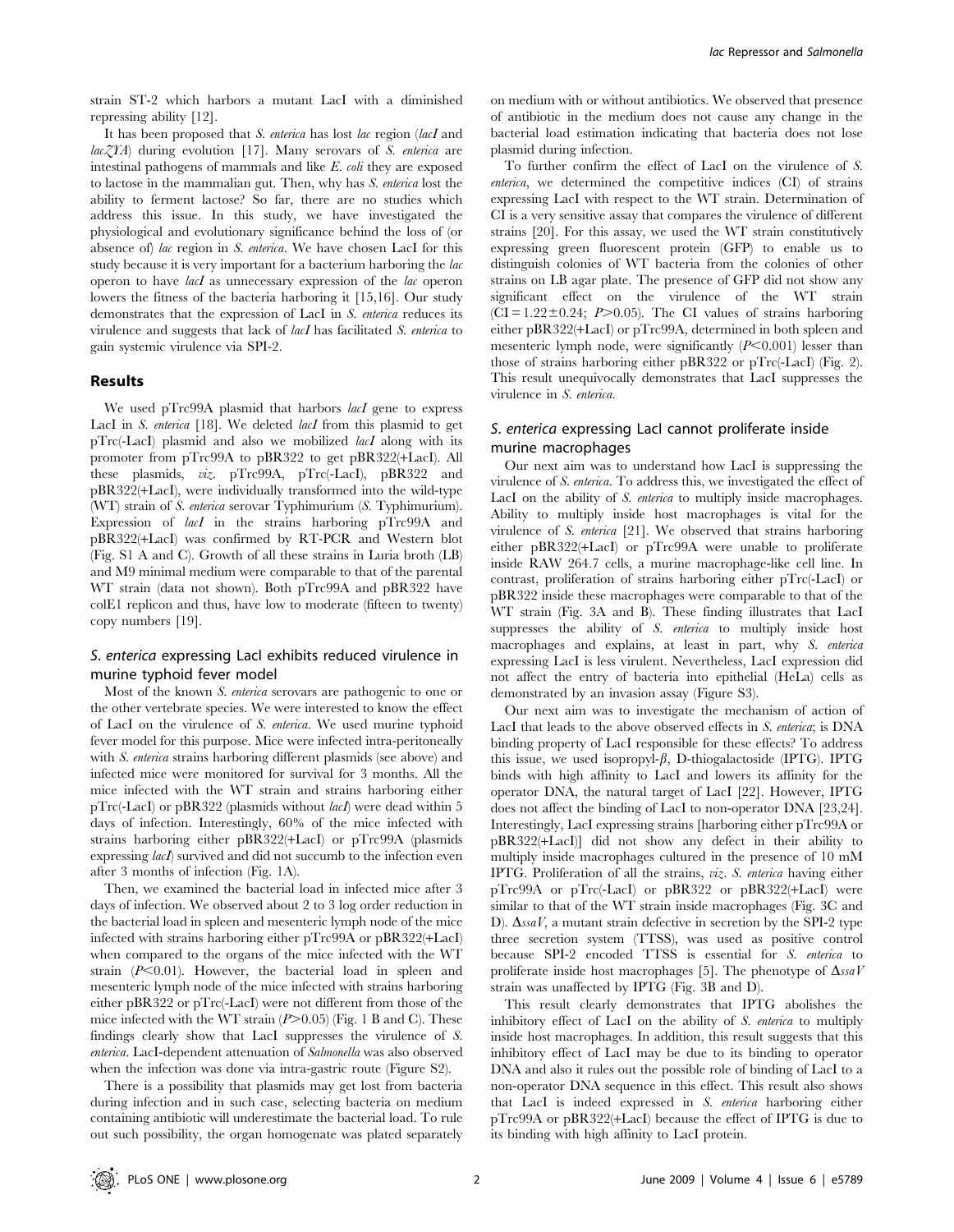strain ST-2 which harbors a mutant LacI with a diminished repressing ability [12].

It has been proposed that S. enterica has lost lac region (lacI and  $lacZYA$ ) during evolution [17]. Many serovars of S. enterica are intestinal pathogens of mammals and like E. coli they are exposed to lactose in the mammalian gut. Then, why has S. enterica lost the ability to ferment lactose? So far, there are no studies which address this issue. In this study, we have investigated the physiological and evolutionary significance behind the loss of (or absence of) lac region in S. enterica. We have chosen LacI for this study because it is very important for a bacterium harboring the lac operon to have lacI as unnecessary expression of the lac operon lowers the fitness of the bacteria harboring it [15,16]. Our study demonstrates that the expression of LacI in S. enterica reduces its virulence and suggests that lack of lacI has facilitated S. enterica to gain systemic virulence via SPI-2.

### Results

We used pTrc99A plasmid that harbors lacI gene to express LacI in S. enterica [18]. We deleted lacI from this plasmid to get pTrc(-LacI) plasmid and also we mobilized lacI along with its promoter from pTrc99A to pBR322 to get pBR322(+LacI). All these plasmids, viz. pTrc99A, pTrc(-LacI), pBR322 and pBR322(+LacI), were individually transformed into the wild-type (WT) strain of S. enterica serovar Typhimurium (S. Typhimurium). Expression of *lacI* in the strains harboring pTrc99A and pBR322(+LacI) was confirmed by RT-PCR and Western blot (Fig. S1 A and C). Growth of all these strains in Luria broth (LB) and M9 minimal medium were comparable to that of the parental WT strain (data not shown). Both pTrc99A and pBR322 have colE1 replicon and thus, have low to moderate (fifteen to twenty) copy numbers [19].

# S. enterica expressing LacI exhibits reduced virulence in murine typhoid fever model

Most of the known S. enterica serovars are pathogenic to one or the other vertebrate species. We were interested to know the effect of LacI on the virulence of S. enterica. We used murine typhoid fever model for this purpose. Mice were infected intra-peritoneally with S. enterica strains harboring different plasmids (see above) and infected mice were monitored for survival for 3 months. All the mice infected with the WT strain and strains harboring either pTrc(-LacI) or pBR322 (plasmids without lacI) were dead within 5 days of infection. Interestingly, 60% of the mice infected with strains harboring either pBR322(+LacI) or pTrc99A (plasmids expressing *lacI*) survived and did not succumb to the infection even after 3 months of infection (Fig. 1A).

Then, we examined the bacterial load in infected mice after 3 days of infection. We observed about 2 to 3 log order reduction in the bacterial load in spleen and mesenteric lymph node of the mice infected with strains harboring either pTrc99A or pBR322(+LacI) when compared to the organs of the mice infected with the WT strain  $(P<0.01)$ . However, the bacterial load in spleen and mesenteric lymph node of the mice infected with strains harboring either pBR322 or pTrc(-LacI) were not different from those of the mice infected with the WT strain  $(P>0.05)$  (Fig. 1 B and C). These findings clearly show that LacI suppresses the virulence of S. enterica. LacI-dependent attenuation of Salmonella was also observed when the infection was done via intra-gastric route (Figure S2).

There is a possibility that plasmids may get lost from bacteria during infection and in such case, selecting bacteria on medium containing antibiotic will underestimate the bacterial load. To rule out such possibility, the organ homogenate was plated separately

on medium with or without antibiotics. We observed that presence of antibiotic in the medium does not cause any change in the bacterial load estimation indicating that bacteria does not lose plasmid during infection.

To further confirm the effect of LacI on the virulence of S. enterica, we determined the competitive indices (CI) of strains expressing LacI with respect to the WT strain. Determination of CI is a very sensitive assay that compares the virulence of different strains [20]. For this assay, we used the WT strain constitutively expressing green fluorescent protein (GFP) to enable us to distinguish colonies of WT bacteria from the colonies of other strains on LB agar plate. The presence of GFP did not show any significant effect on the virulence of the WT strain  $|CI = 1.22 \pm 0.24$ ; P $> 0.05$ ). The CI values of strains harboring either pBR322(+LacI) or pTrc99A, determined in both spleen and mesenteric lymph node, were significantly  $(P<0.001)$  lesser than those of strains harboring either pBR322 or pTrc(-LacI) (Fig. 2). This result unequivocally demonstrates that LacI suppresses the virulence in S. enterica.

# S. enterica expressing LacI cannot proliferate inside murine macrophages

Our next aim was to understand how LacI is suppressing the virulence of S. enterica. To address this, we investigated the effect of LacI on the ability of S. *enterica* to multiply inside macrophages. Ability to multiply inside host macrophages is vital for the virulence of S. enterica [21]. We observed that strains harboring either pBR322(+LacI) or pTrc99A were unable to proliferate inside RAW 264.7 cells, a murine macrophage-like cell line. In contrast, proliferation of strains harboring either pTrc(-LacI) or pBR322 inside these macrophages were comparable to that of the WT strain (Fig. 3A and B). These finding illustrates that LacI suppresses the ability of S. enterica to multiply inside host macrophages and explains, at least in part, why S. enterica expressing LacI is less virulent. Nevertheless, LacI expression did not affect the entry of bacteria into epithelial (HeLa) cells as demonstrated by an invasion assay (Figure S3).

Our next aim was to investigate the mechanism of action of LacI that leads to the above observed effects in S. enterica; is DNA binding property of LacI responsible for these effects? To address this issue, we used isopropyl- $\beta$ , D-thiogalactoside (IPTG). IPTG binds with high affinity to LacI and lowers its affinity for the operator DNA, the natural target of LacI [22]. However, IPTG does not affect the binding of LacI to non-operator DNA [23,24]. Interestingly, LacI expressing strains [harboring either pTrc99A or pBR322(+LacI)] did not show any defect in their ability to multiply inside macrophages cultured in the presence of 10 mM IPTG. Proliferation of all the strains, viz. S. enterica having either pTrc99A or pTrc(-LacI) or pBR322 or pBR322(+LacI) were similar to that of the WT strain inside macrophages (Fig. 3C and D).  $\Delta$ ssaV, a mutant strain defective in secretion by the SPI-2 type three secretion system (TTSS), was used as positive control because SPI-2 encoded TTSS is essential for S. enterica to proliferate inside host macrophages [5]. The phenotype of  $\Delta ssaV$ strain was unaffected by IPTG (Fig. 3B and D).

This result clearly demonstrates that IPTG abolishes the inhibitory effect of LacI on the ability of S. enterica to multiply inside host macrophages. In addition, this result suggests that this inhibitory effect of LacI may be due to its binding to operator DNA and also it rules out the possible role of binding of LacI to a non-operator DNA sequence in this effect. This result also shows that LacI is indeed expressed in S. enterica harboring either pTrc99A or pBR322(+LacI) because the effect of IPTG is due to its binding with high affinity to LacI protein.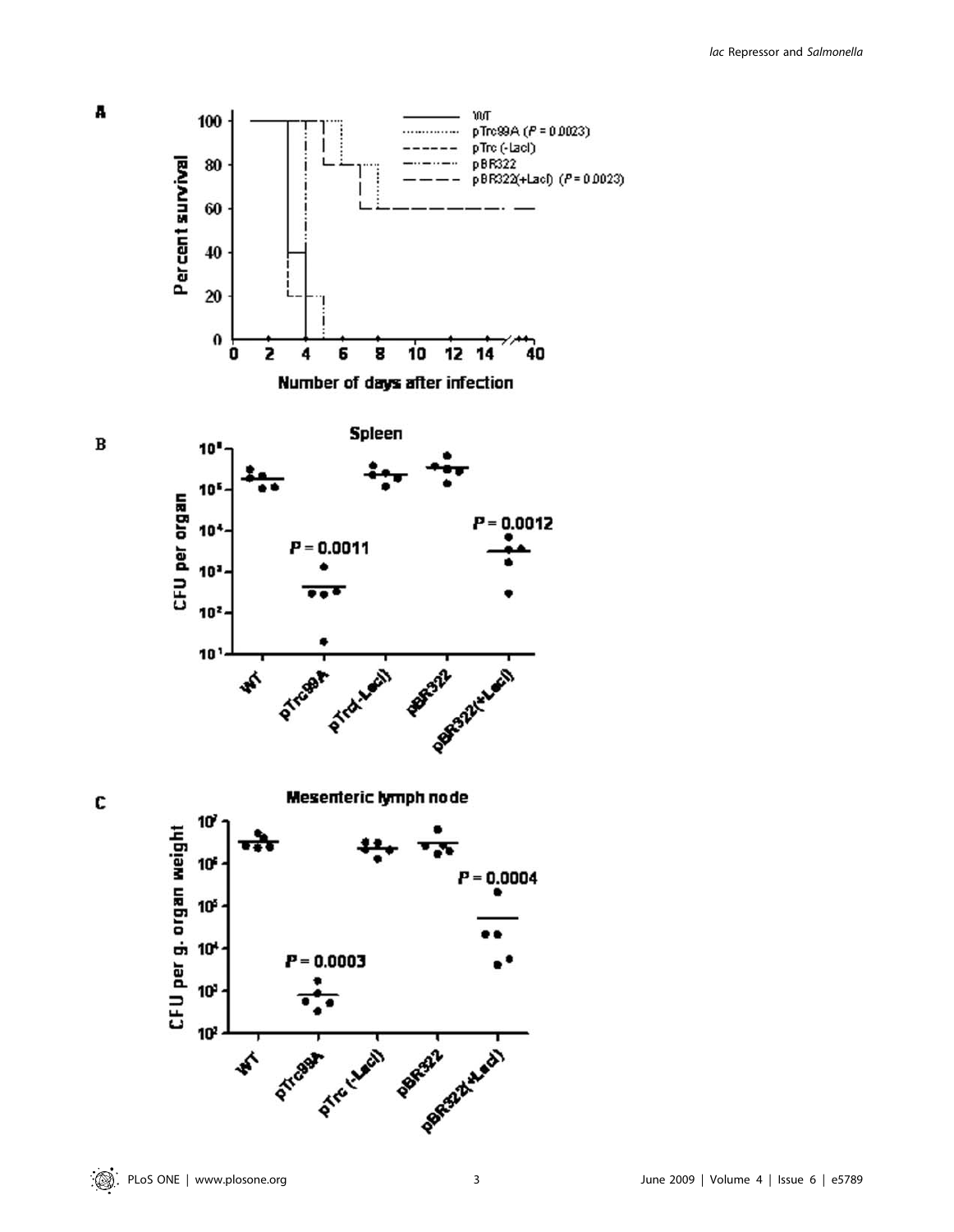WТ 100 pTrc99A (P = 0.0023) pTrc (-Lacl) Percent survival **pBR322** 80 pBR322(+Lacl) (P=0.0023) 60 40 20  $\theta$ 10  $12 - 14$ 2 8 Ò 4 6 40 Number of days after infection Spleen  $10<sup>1</sup>$ 10 CFU per organ  $= 0.0012$  $10<sup>4</sup>$  $P = 0.0011$  $10<sup>3</sup>$  $10<sup>2</sup>$ PARTIE - LEVEL 10 PATOLICAL Pircison 参 Mesenteric lymph node 10 CFU per g. organ weight 10  $P = 0.0004$ 10° 10<sup>4</sup>  $= 0.0003$  $10<sup>3</sup>$ 10 PTropage Clash Partner Retail  $\boldsymbol{\psi}$ 

A

 $\, {\bf B}$ 

C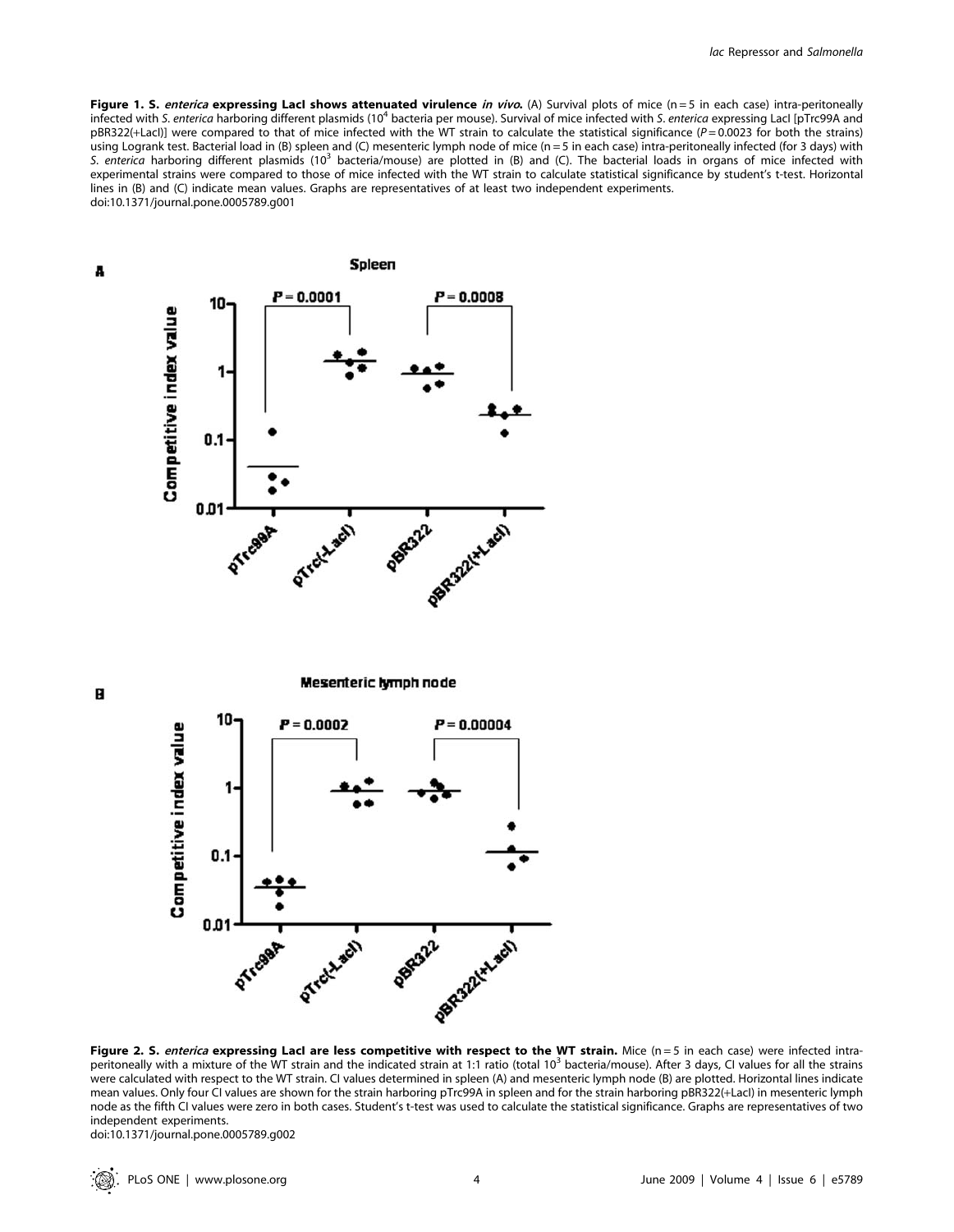Figure 1. S. enterica expressing LacI shows attenuated virulence in vivo. (A) Survival plots of mice (n = 5 in each case) intra-peritoneally infected with S. enterica harboring different plasmids (10<sup>4</sup> bacteria per mouse). Survival of mice infected with S. enterica expressing LacI [pTrc99A and  $pBR322(+\text{L}$ cl)] were compared to that of mice infected with the WT strain to calculate the statistical significance ( $P = 0.0023$  for both the strains) using Logrank test. Bacterial load in (B) spleen and (C) mesenteric lymph node of mice (n = 5 in each case) intra-peritoneally infected (for 3 days) with S. enterica harboring different plasmids (10<sup>3</sup> bacteria/mouse) are plotted in (B) and (C). The bacterial loads in organs of mice infected with experimental strains were compared to those of mice infected with the WT strain to calculate statistical significance by student's t-test. Horizontal lines in (B) and (C) indicate mean values. Graphs are representatives of at least two independent experiments. doi:10.1371/journal.pone.0005789.g001





Figure 2. S. enterica expressing LacI are less competitive with respect to the WT strain. Mice (n = 5 in each case) were infected intraperitoneally with a mixture of the WT strain and the indicated strain at 1:1 ratio (total 10<sup>3</sup> bacteria/mouse). After 3 days, CI values for all the strains were calculated with respect to the WT strain. CI values determined in spleen (A) and mesenteric lymph node (B) are plotted. Horizontal lines indicate mean values. Only four CI values are shown for the strain harboring pTrc99A in spleen and for the strain harboring pBR322(+LacI) in mesenteric lymph node as the fifth CI values were zero in both cases. Student's t-test was used to calculate the statistical significance. Graphs are representatives of two independent experiments.

doi:10.1371/journal.pone.0005789.g002

A

 $\mathbf{B}$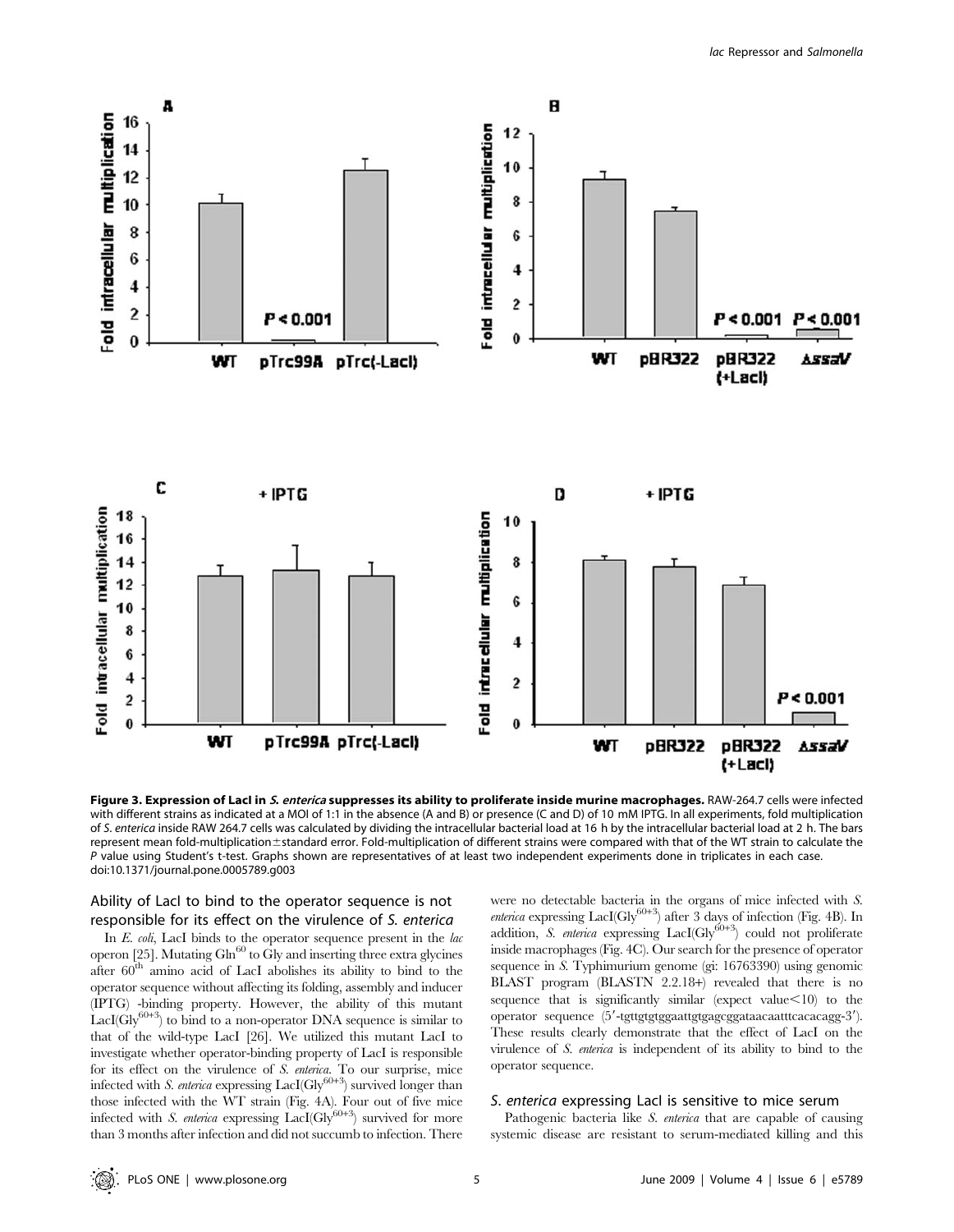

Figure 3. Expression of LacI in S. enterica suppresses its ability to proliferate inside murine macrophages. RAW-264.7 cells were infected with different strains as indicated at a MOI of 1:1 in the absence (A and B) or presence (C and D) of 10 mM IPTG. In all experiments, fold multiplication of S. enterica inside RAW 264.7 cells was calculated by dividing the intracellular bacterial load at 16 h by the intracellular bacterial load at 2 h. The bars represent mean fold-multiplication±standard error. Fold-multiplication of different strains were compared with that of the WT strain to calculate the P value using Student's t-test. Graphs shown are representatives of at least two independent experiments done in triplicates in each case. doi:10.1371/journal.pone.0005789.g003

# Ability of LacI to bind to the operator sequence is not responsible for its effect on the virulence of S. enterica

In  $E.$   $\omega h$ , LacI binds to the operator sequence present in the lac operon [25]. Mutating  $G\ln^{60}$  to  $\overline{G}$ ly and inserting three extra glycines after  $60<sup>th</sup>$  amino acid of LacI abolishes its ability to bind to the operator sequence without affecting its folding, assembly and inducer (IPTG) -binding property. However, the ability of this mutant  $\text{LacI}(\text{Gly}^{60+3})$  to bind to a non-operator DNA sequence is similar to that of the wild-type LacI [26]. We utilized this mutant LacI to investigate whether operator-binding property of LacI is responsible for its effect on the virulence of S. enterica. To our surprise, mice infected with *S. enterica* expressing  $\text{LacI(Gly}^{60+3})$  survived longer than those infected with the WT strain (Fig. 4A). Four out of five mice infected with *S. enterica* expressing  $\text{LacI}(\text{Gly}^{60+3})$  survived for more than 3 months after infection and did not succumb to infection. There

were no detectable bacteria in the organs of mice infected with S. enterica expressing  $\text{LacI}(\text{Gly}^{60+3})$  after 3 days of infection (Fig. 4B). In addition, S. enterica expressing  $\text{LacI(Gly}^{60+3})$  could not proliferate inside macrophages (Fig. 4C). Our search for the presence of operator sequence in S. Typhimurium genome (gi: 16763390) using genomic BLAST program (BLASTN 2.2.18+) revealed that there is no sequence that is significantly similar (expect value $<10$ ) to the operator sequence (5'-tgttgtgtggaattgtgagcggataacaatttcacacagg-3'). These results clearly demonstrate that the effect of LacI on the virulence of S. enterica is independent of its ability to bind to the operator sequence.

#### S. enterica expressing LacI is sensitive to mice serum

Pathogenic bacteria like S. enterica that are capable of causing systemic disease are resistant to serum-mediated killing and this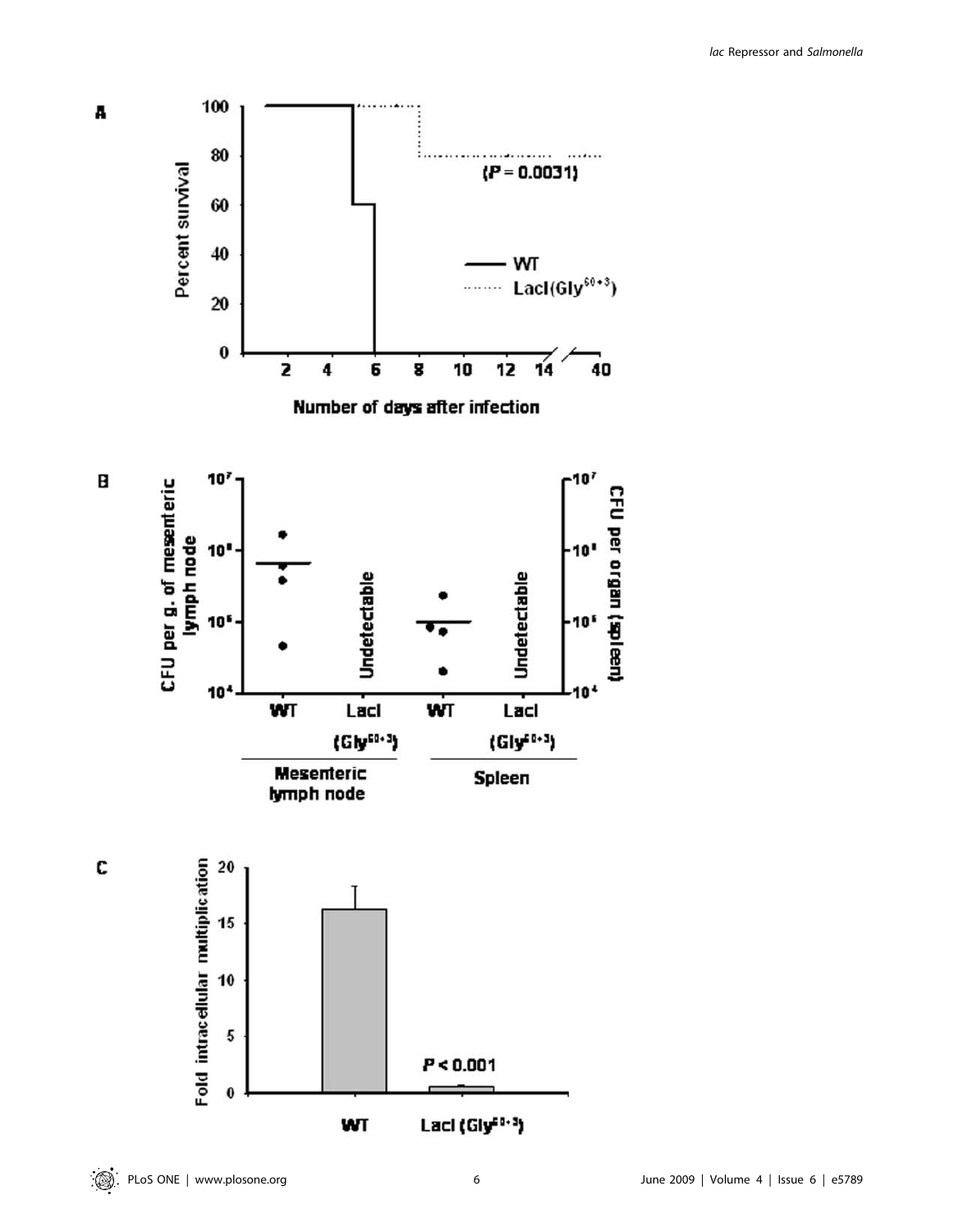



C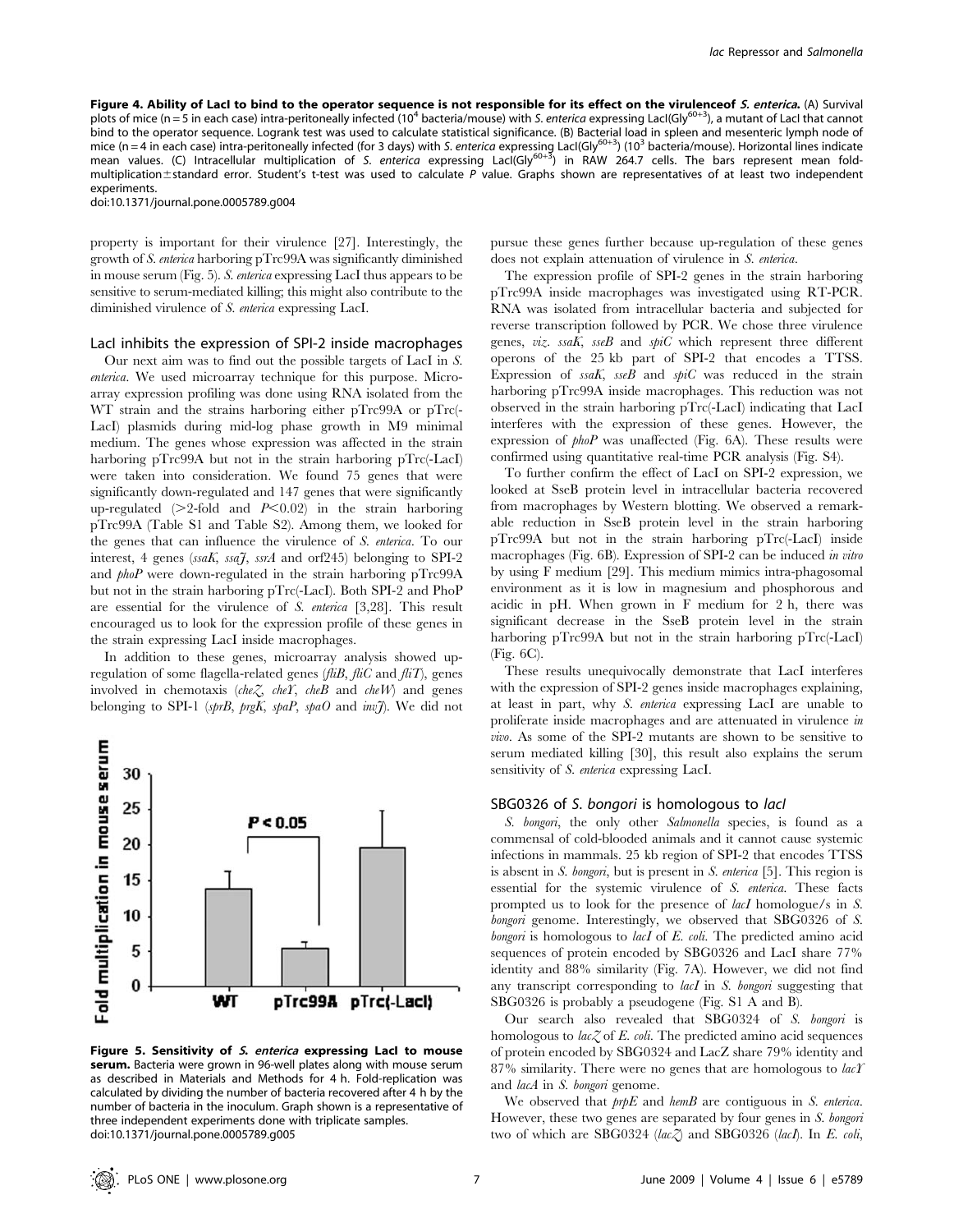Figure 4. Ability of LacI to bind to the operator sequence is not responsible for its effect on the virulenceof S. enterica. (A) Survival plots of mice (n = 5 in each case) intra-peritoneally infected (10<sup>4</sup> bacteria/mouse) with S. enterica expressing Lacl(Gly<sup>60+3</sup>), a mutant of Lacl that cannot bind to the operator sequence. Logrank test was used to calculate statistical significance. (B) Bacterial load in spleen and mesenteric lymph node of mice (n = 4 in each case) intra-peritoneally infected (for 3 days) with S. enterica expressing LacI(Gly<sup>60+3</sup>) (10<sup>3</sup> bacteria/mouse). Horizontal lines indicate mean values. (C) Intracellular multiplication of S. enterica expressing LacI(Gly<sup>60+3</sup>) in RAW 264.7 cells. The bars represent mean foldmultiplication±standard error. Student's t-test was used to calculate P value. Graphs shown are representatives of at least two independent experiments.

doi:10.1371/journal.pone.0005789.g004

property is important for their virulence [27]. Interestingly, the growth of S. enterica harboring pTrc99A was significantly diminished in mouse serum (Fig. 5). S. enterica expressing LacI thus appears to be sensitive to serum-mediated killing; this might also contribute to the diminished virulence of S. enterica expressing LacI.

# LacI inhibits the expression of SPI-2 inside macrophages

Our next aim was to find out the possible targets of LacI in S. enterica. We used microarray technique for this purpose. Microarray expression profiling was done using RNA isolated from the WT strain and the strains harboring either pTrc99A or pTrc $\left(-\right)$ LacI) plasmids during mid-log phase growth in M9 minimal medium. The genes whose expression was affected in the strain harboring pTrc99A but not in the strain harboring pTrc(-LacI) were taken into consideration. We found 75 genes that were significantly down-regulated and 147 genes that were significantly up-regulated  $(>2$ -fold and  $P<0.02$ ) in the strain harboring pTrc99A (Table S1 and Table S2). Among them, we looked for the genes that can influence the virulence of S. enterica. To our interest, 4 genes (ssaK, ssaJ, ssrA and orf245) belonging to SPI-2 and phoP were down-regulated in the strain harboring pTrc99A but not in the strain harboring pTrc(-LacI). Both SPI-2 and PhoP are essential for the virulence of S. enterica [3,28]. This result encouraged us to look for the expression profile of these genes in the strain expressing LacI inside macrophages.

In addition to these genes, microarray analysis showed upregulation of some flagella-related genes (fliB, fliC and fliT), genes involved in chemotaxis (cheZ, cheY, cheB and cheW) and genes belonging to SPI-1 (sprB, prgK, spaP, spaO and invJ). We did not



Figure 5. Sensitivity of S. enterica expressing LacI to mouse **serum.** Bacteria were grown in 96-well plates along with mouse serum as described in Materials and Methods for 4 h. Fold-replication was calculated by dividing the number of bacteria recovered after 4 h by the number of bacteria in the inoculum. Graph shown is a representative of three independent experiments done with triplicate samples. doi:10.1371/journal.pone.0005789.g005

pursue these genes further because up-regulation of these genes does not explain attenuation of virulence in S. enterica.

The expression profile of SPI-2 genes in the strain harboring pTrc99A inside macrophages was investigated using RT-PCR. RNA was isolated from intracellular bacteria and subjected for reverse transcription followed by PCR. We chose three virulence genes,  $viz.$  ssa $K$ , sse $B$  and spi $C$  which represent three different operons of the 25 kb part of SPI-2 that encodes a TTSS. Expression of  $ssaK$ ,  $sseB$  and  $spiC$  was reduced in the strain harboring pTrc99A inside macrophages. This reduction was not observed in the strain harboring pTrc(-LacI) indicating that LacI interferes with the expression of these genes. However, the expression of phoP was unaffected (Fig. 6A). These results were confirmed using quantitative real-time PCR analysis (Fig. S4).

To further confirm the effect of LacI on SPI-2 expression, we looked at SseB protein level in intracellular bacteria recovered from macrophages by Western blotting. We observed a remarkable reduction in SseB protein level in the strain harboring pTrc99A but not in the strain harboring pTrc(-LacI) inside macrophages (Fig. 6B). Expression of SPI-2 can be induced in vitro by using F medium [29]. This medium mimics intra-phagosomal environment as it is low in magnesium and phosphorous and acidic in pH. When grown in F medium for 2 h, there was significant decrease in the SseB protein level in the strain harboring pTrc99A but not in the strain harboring pTrc(-LacI) (Fig. 6C).

These results unequivocally demonstrate that LacI interferes with the expression of SPI-2 genes inside macrophages explaining, at least in part, why S. enterica expressing LacI are unable to proliferate inside macrophages and are attenuated in virulence in vivo. As some of the SPI-2 mutants are shown to be sensitive to serum mediated killing [30], this result also explains the serum sensitivity of *S. enterica* expressing LacI.

## SBG0326 of S. bongori is homologous to lacI

S. bongon, the only other Salmonella species, is found as a commensal of cold-blooded animals and it cannot cause systemic infections in mammals. 25 kb region of SPI-2 that encodes TTSS is absent in S. bongori, but is present in S. enterica [5]. This region is essential for the systemic virulence of S. enterica. These facts prompted us to look for the presence of lacI homologue/s in S. bongori genome. Interestingly, we observed that SBG0326 of S. bongori is homologous to *lacI* of  $E$ , *coli*. The predicted amino acid sequences of protein encoded by SBG0326 and LacI share 77% identity and 88% similarity (Fig. 7A). However, we did not find any transcript corresponding to lacI in S. bongori suggesting that SBG0326 is probably a pseudogene (Fig. S1 A and B).

Our search also revealed that SBG0324 of S. bongori is homologous to  $lac\mathcal{Z}$  of E. coli. The predicted amino acid sequences of protein encoded by SBG0324 and LacZ share 79% identity and 87% similarity. There were no genes that are homologous to  $la\mathcal{U}$ and lacA in S. bongori genome.

We observed that  $\text{prp}E$  and hemB are contiguous in S. enterica. However, these two genes are separated by four genes in S. bongori two of which are SBG0324 (lac $\zeta$ ) and SBG0326 (lacI). In E. coli,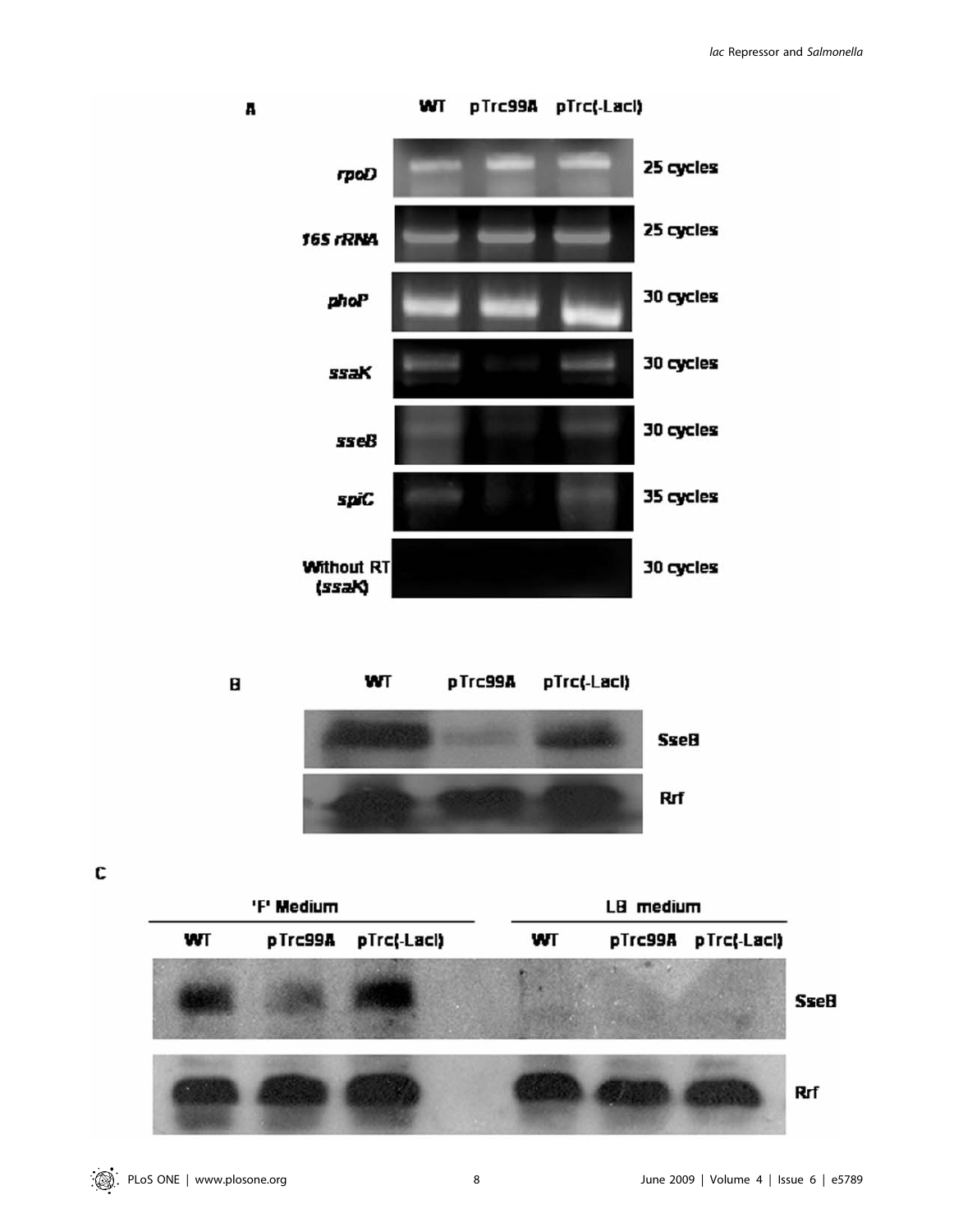

C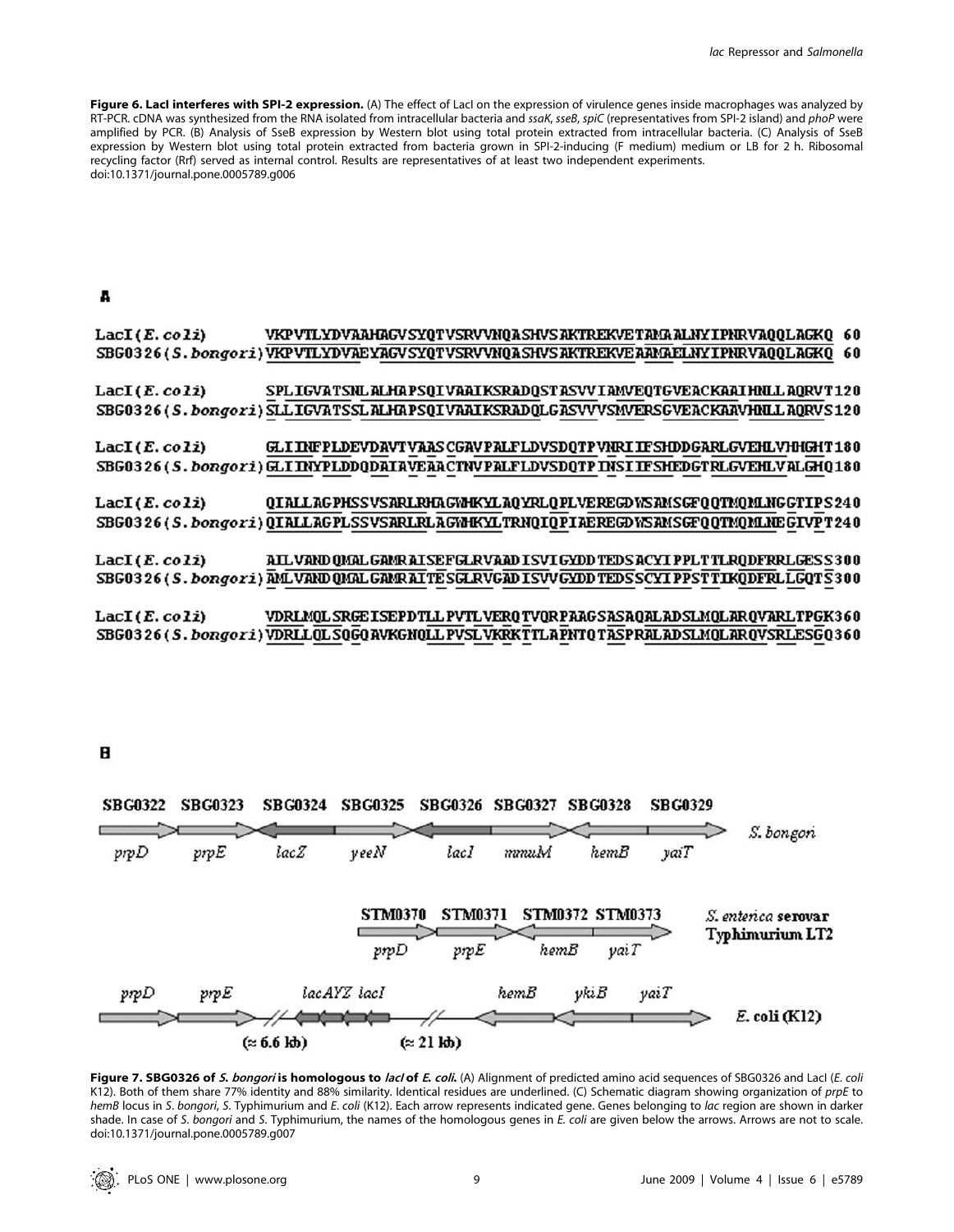Figure 6. LacI interferes with SPI-2 expression. (A) The effect of LacI on the expression of virulence genes inside macrophages was analyzed by RT-PCR. cDNA was synthesized from the RNA isolated from intracellular bacteria and ssaK, sseB, spiC (representatives from SPI-2 island) and phoP were amplified by PCR. (B) Analysis of SseB expression by Western blot using total protein extracted from intracellular bacteria. (C) Analysis of SseB expression by Western blot using total protein extracted from bacteria grown in SPI-2-inducing (F medium) medium or LB for 2 h. Ribosomal recycling factor (Rrf) served as internal control. Results are representatives of at least two independent experiments. doi:10.1371/journal.pone.0005789.g006

# д

| LacI(E.co1i) | VKP VTLYDVAAHAGV SYQT VSRVVNQA SHVS AKTREKVE TAMA ALNY I PNR VAQQLAGKQ<br>60              |
|--------------|-------------------------------------------------------------------------------------------|
|              | SBG0326(S.borgori)VKPVTLYDVAEYAGVSYQTVSRVVNQASHVSAKTREKVE AAMAELNYIPNRVAQQLAGKQ<br>60     |
| LacI(E.co1i) | SPLIGVATSNLALHAPSQIVAAIKSRADQSTASVVIANVEQTGVEACKAAIHNLLAQRVT120                           |
|              | SBG0326(S.bongori)SLLIGVATSSLALHAPSQIVAAIKSRADQLGASVVVSMVERSGVEACKAAVHNLLAQRVS120         |
| LacI(E.co1i) | GLI IRFPLDEVDAVTVAAS CGAV PALFLDVSDOTP VNRI IF SHDDGARLGVEHLVHHGHT 180                    |
|              | SBG0326(S.bongori)GLIINYPLDDQDAIAVEAACTNVPALFLDVSDQTPINSIIFSHEDGTRLGVEHLVALGHQ180         |
| LacI(E.co1i) | QIALLAGPHSSVSARLRHAGYMKYLAQYRLQPLVEREGDYSAMSGFQQTMQMLNGGTIPS240                           |
|              | SBG0326(S.borgori)QIALLAGPLSSVSARLRLAGMKYLTRNQIQPIAEREGDWSAMSGFQQTMQMLNEGIVPT240          |
| LacI(E.co1i) | AIL VAND OMAL GANR AI SEF GLRVAAD I SVI GYDD TEDS ACYI PPL T TLRODFRRLGES S 300           |
|              | SBG0326(S.bongori) AMLVAND QMALGAMRAITE SGLRVGAD ISVVGYDD TEDS SCYIPPST TIKQDFRLLGQT S300 |
| LacI(E.co1i) | VDRLMOL SRGE I SEPDTLL PVTL VERO TVOR PAAG SASA OAL AD SLMOL AR OVARL TPGK360             |

SBG0326(S.bongori)VDRLLQLSQGQAVKGNQLLPVSLVKRKTTLAPNTQTASPRALADSLMQLARQVSRLESGQ360

B



Figure 7. SBG0326 of S. bongori is homologous to lacI of E. coli. (A) Alignment of predicted amino acid sequences of SBG0326 and LacI (E. coli K12). Both of them share 77% identity and 88% similarity. Identical residues are underlined. (C) Schematic diagram showing organization of prpE to hemB locus in S. bongori, S. Typhimurium and E. coli (K12). Each arrow represents indicated gene. Genes belonging to lac region are shown in darker shade. In case of S. bongori and S. Typhimurium, the names of the homologous genes in E. coli are given below the arrows. Arrows are not to scale. doi:10.1371/journal.pone.0005789.g007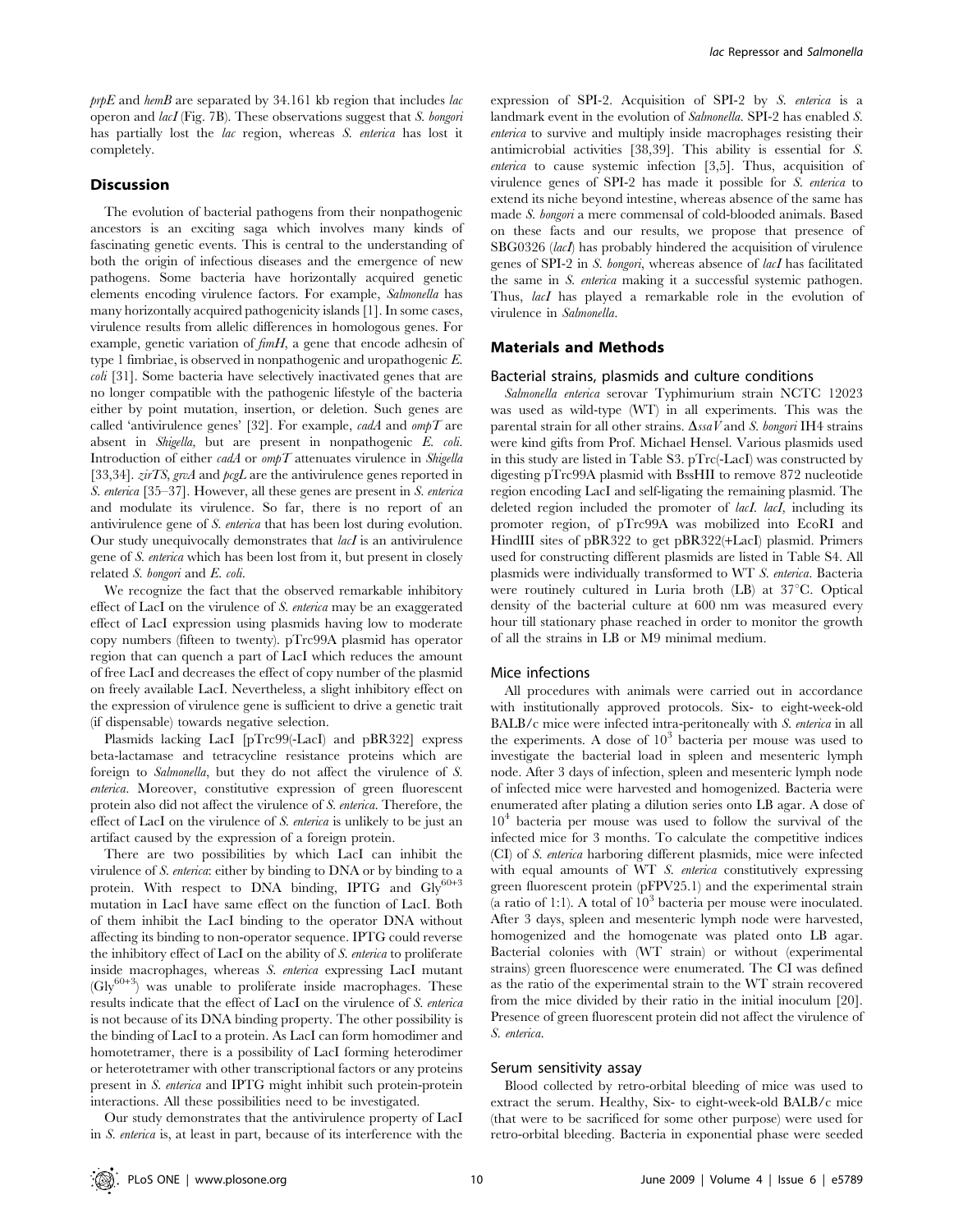$prpE$  and hemB are separated by 34.161 kb region that includes lac operon and lacI (Fig. 7B). These observations suggest that S. bongori has partially lost the *lac* region, whereas *S. enterica* has lost it completely.

# Discussion

The evolution of bacterial pathogens from their nonpathogenic ancestors is an exciting saga which involves many kinds of fascinating genetic events. This is central to the understanding of both the origin of infectious diseases and the emergence of new pathogens. Some bacteria have horizontally acquired genetic elements encoding virulence factors. For example, Salmonella has many horizontally acquired pathogenicity islands [1]. In some cases, virulence results from allelic differences in homologous genes. For example, genetic variation of  $f_{im}H$ , a gene that encode adhesin of type 1 fimbriae, is observed in nonpathogenic and uropathogenic E. coli [31]. Some bacteria have selectively inactivated genes that are no longer compatible with the pathogenic lifestyle of the bacteria either by point mutation, insertion, or deletion. Such genes are called 'antivirulence genes' [32]. For example,  $cadA$  and  $ompT$  are absent in Shigella, but are present in nonpathogenic E. coli. Introduction of either  $cadA$  or  $ompT$  attenuates virulence in Shigella [33,34].  $zirTS$ , grvA and  $pcgL$  are the antivirulence genes reported in S. enterica [35–37]. However, all these genes are present in S. enterica and modulate its virulence. So far, there is no report of an antivirulence gene of S. enterica that has been lost during evolution. Our study unequivocally demonstrates that *lacI* is an antivirulence gene of S. enterica which has been lost from it, but present in closely related S. bongori and E. coli.

We recognize the fact that the observed remarkable inhibitory effect of LacI on the virulence of S. enterica may be an exaggerated effect of LacI expression using plasmids having low to moderate copy numbers (fifteen to twenty). pTrc99A plasmid has operator region that can quench a part of LacI which reduces the amount of free LacI and decreases the effect of copy number of the plasmid on freely available LacI. Nevertheless, a slight inhibitory effect on the expression of virulence gene is sufficient to drive a genetic trait (if dispensable) towards negative selection.

Plasmids lacking LacI [pTrc99(-LacI) and pBR322] express beta-lactamase and tetracycline resistance proteins which are foreign to Salmonella, but they do not affect the virulence of S. enterica. Moreover, constitutive expression of green fluorescent protein also did not affect the virulence of S. enterica. Therefore, the effect of LacI on the virulence of S. enterica is unlikely to be just an artifact caused by the expression of a foreign protein.

There are two possibilities by which LacI can inhibit the virulence of S. enterica: either by binding to DNA or by binding to a protein. With respect to DNA binding, IPTG and  $\overrightarrow{Gly}^{60+3}$ mutation in LacI have same effect on the function of LacI. Both of them inhibit the LacI binding to the operator DNA without affecting its binding to non-operator sequence. IPTG could reverse the inhibitory effect of LacI on the ability of S. enterica to proliferate inside macrophages, whereas S. enterica expressing LacI mutant (Gly<sup>60+3</sup>) was unable to proliferate inside macrophages. These results indicate that the effect of LacI on the virulence of S. enterica is not because of its DNA binding property. The other possibility is the binding of LacI to a protein. As LacI can form homodimer and homotetramer, there is a possibility of LacI forming heterodimer or heterotetramer with other transcriptional factors or any proteins present in S. enterica and IPTG might inhibit such protein-protein interactions. All these possibilities need to be investigated.

Our study demonstrates that the antivirulence property of LacI in S. enterica is, at least in part, because of its interference with the expression of SPI-2. Acquisition of SPI-2 by S. enterica is a landmark event in the evolution of Salmonella. SPI-2 has enabled S. enterica to survive and multiply inside macrophages resisting their antimicrobial activities [38,39]. This ability is essential for S. enterica to cause systemic infection [3,5]. Thus, acquisition of virulence genes of SPI-2 has made it possible for S. enterica to extend its niche beyond intestine, whereas absence of the same has made S. bongori a mere commensal of cold-blooded animals. Based on these facts and our results, we propose that presence of SBG0326 (lacI) has probably hindered the acquisition of virulence genes of SPI-2 in S. bongori, whereas absence of lacI has facilitated the same in S. enterica making it a successful systemic pathogen. Thus, *lacI* has played a remarkable role in the evolution of virulence in Salmonella.

## Materials and Methods

#### Bacterial strains, plasmids and culture conditions

Salmonella enterica serovar Typhimurium strain NCTC 12023 was used as wild-type (WT) in all experiments. This was the parental strain for all other strains.  $\Delta s$ saV and S. bongon IH4 strains were kind gifts from Prof. Michael Hensel. Various plasmids used in this study are listed in Table S3. pTrc(-LacI) was constructed by digesting pTrc99A plasmid with BssHII to remove 872 nucleotide region encoding LacI and self-ligating the remaining plasmid. The deleted region included the promoter of lacI. lacI, including its promoter region, of pTrc99A was mobilized into EcoRI and HindIII sites of pBR322 to get pBR322(+LacI) plasmid. Primers used for constructing different plasmids are listed in Table S4. All plasmids were individually transformed to WT S. enterica. Bacteria were routinely cultured in Luria broth  $(LB)$  at  $37^{\circ}$ C. Optical density of the bacterial culture at 600 nm was measured every hour till stationary phase reached in order to monitor the growth of all the strains in LB or M9 minimal medium.

#### Mice infections

All procedures with animals were carried out in accordance with institutionally approved protocols. Six- to eight-week-old BALB/c mice were infected intra-peritoneally with S. enterica in all the experiments. A dose of  $10<sup>3</sup>$  bacteria per mouse was used to investigate the bacterial load in spleen and mesenteric lymph node. After 3 days of infection, spleen and mesenteric lymph node of infected mice were harvested and homogenized. Bacteria were enumerated after plating a dilution series onto LB agar. A dose of  $10<sup>4</sup>$  bacteria per mouse was used to follow the survival of the infected mice for 3 months. To calculate the competitive indices (CI) of S. enterica harboring different plasmids, mice were infected with equal amounts of WT S. enterica constitutively expressing green fluorescent protein (pFPV25.1) and the experimental strain (a ratio of 1:1). A total of  $10<sup>3</sup>$  bacteria per mouse were inoculated. After 3 days, spleen and mesenteric lymph node were harvested, homogenized and the homogenate was plated onto LB agar. Bacterial colonies with (WT strain) or without (experimental strains) green fluorescence were enumerated. The CI was defined as the ratio of the experimental strain to the WT strain recovered from the mice divided by their ratio in the initial inoculum [20]. Presence of green fluorescent protein did not affect the virulence of S. enterica.

#### Serum sensitivity assay

Blood collected by retro-orbital bleeding of mice was used to extract the serum. Healthy, Six- to eight-week-old BALB/c mice (that were to be sacrificed for some other purpose) were used for retro-orbital bleeding. Bacteria in exponential phase were seeded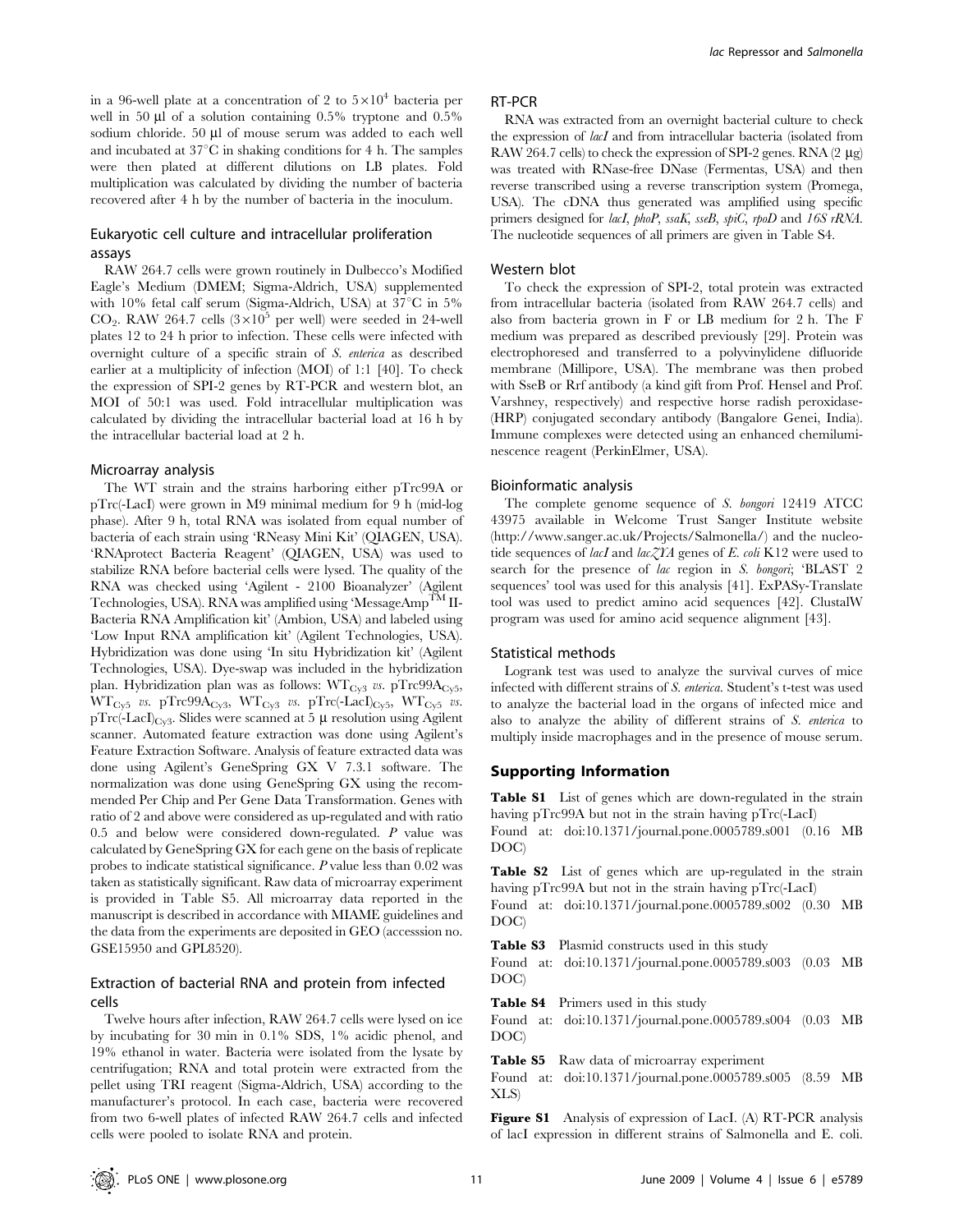in a 96-well plate at a concentration of 2 to  $5\times10^4$  bacteria per well in 50  $\mu$ l of a solution containing 0.5% tryptone and 0.5% sodium chloride. 50 µl of mouse serum was added to each well and incubated at  $37^{\circ}$ C in shaking conditions for 4 h. The samples were then plated at different dilutions on LB plates. Fold multiplication was calculated by dividing the number of bacteria recovered after 4 h by the number of bacteria in the inoculum.

# Eukaryotic cell culture and intracellular proliferation assays

RAW 264.7 cells were grown routinely in Dulbecco's Modified Eagle's Medium (DMEM; Sigma-Aldrich, USA) supplemented with 10% fetal calf serum (Sigma-Aldrich, USA) at  $37^{\circ}$ C in 5%  $CO<sub>2</sub>$ . RAW 264.7 cells  $(3\times10<sup>5</sup>$  per well) were seeded in 24-well plates 12 to 24 h prior to infection. These cells were infected with overnight culture of a specific strain of S. enterica as described earlier at a multiplicity of infection (MOI) of 1:1 [40]. To check the expression of SPI-2 genes by RT-PCR and western blot, an MOI of 50:1 was used. Fold intracellular multiplication was calculated by dividing the intracellular bacterial load at 16 h by the intracellular bacterial load at 2 h.

#### Microarray analysis

The WT strain and the strains harboring either pTrc99A or pTrc(-LacI) were grown in M9 minimal medium for 9 h (mid-log phase). After 9 h, total RNA was isolated from equal number of bacteria of each strain using 'RNeasy Mini Kit' (QIAGEN, USA). 'RNAprotect Bacteria Reagent' (QIAGEN, USA) was used to stabilize RNA before bacterial cells were lysed. The quality of the RNA was checked using 'Agilent - 2100 Bioanalyzer' (Agilent Technologies, USA). RNA was amplified using 'MessageAmp<sup>TM</sup> II-Bacteria RNA Amplification kit' (Ambion, USA) and labeled using 'Low Input RNA amplification kit' (Agilent Technologies, USA). Hybridization was done using 'In situ Hybridization kit' (Agilent Technologies, USA). Dye-swap was included in the hybridization plan. Hybridization plan was as follows:  $WT_{Cv3}$  vs. pTrc99A<sub>Cv5</sub>,  $WT_{Cv5}$  vs. pTrc99 $A_{Cv3}$ , WT<sub>Cv3</sub> vs. pTrc(-LacI)<sub>Cv5</sub>, WT<sub>Cv5</sub> vs. pTrc(-LacI)<sub>Cy3</sub>. Slides were scanned at 5  $\mu$  resolution using Agilent scanner. Automated feature extraction was done using Agilent's Feature Extraction Software. Analysis of feature extracted data was done using Agilent's GeneSpring GX V 7.3.1 software. The normalization was done using GeneSpring GX using the recommended Per Chip and Per Gene Data Transformation. Genes with ratio of 2 and above were considered as up-regulated and with ratio 0.5 and below were considered down-regulated. P value was calculated by GeneSpring GX for each gene on the basis of replicate probes to indicate statistical significance. P value less than 0.02 was taken as statistically significant. Raw data of microarray experiment is provided in Table S5. All microarray data reported in the manuscript is described in accordance with MIAME guidelines and the data from the experiments are deposited in GEO (accesssion no. GSE15950 and GPL8520).

# Extraction of bacterial RNA and protein from infected cells

Twelve hours after infection, RAW 264.7 cells were lysed on ice by incubating for 30 min in 0.1% SDS, 1% acidic phenol, and 19% ethanol in water. Bacteria were isolated from the lysate by centrifugation; RNA and total protein were extracted from the pellet using TRI reagent (Sigma-Aldrich, USA) according to the manufacturer's protocol. In each case, bacteria were recovered from two 6-well plates of infected RAW 264.7 cells and infected cells were pooled to isolate RNA and protein.

#### RT-PCR

RNA was extracted from an overnight bacterial culture to check the expression of *lacI* and from intracellular bacteria (isolated from RAW 264.7 cells) to check the expression of SPI-2 genes. RNA  $(2 \mu g)$ was treated with RNase-free DNase (Fermentas, USA) and then reverse transcribed using a reverse transcription system (Promega, USA). The cDNA thus generated was amplified using specific primers designed for lacI, phoP, ssaK, sseB, spiC, rpoD and 16S rRNA. The nucleotide sequences of all primers are given in Table S4.

#### Western blot

To check the expression of SPI-2, total protein was extracted from intracellular bacteria (isolated from RAW 264.7 cells) and also from bacteria grown in F or LB medium for 2 h. The F medium was prepared as described previously [29]. Protein was electrophoresed and transferred to a polyvinylidene difluoride membrane (Millipore, USA). The membrane was then probed with SseB or Rrf antibody (a kind gift from Prof. Hensel and Prof. Varshney, respectively) and respective horse radish peroxidase- (HRP) conjugated secondary antibody (Bangalore Genei, India). Immune complexes were detected using an enhanced chemiluminescence reagent (PerkinElmer, USA).

#### Bioinformatic analysis

The complete genome sequence of S. bongori 12419 ATCC 43975 available in Welcome Trust Sanger Institute website (http://www.sanger.ac.uk/Projects/Salmonella/) and the nucleotide sequences of *lacI* and *lac* $\angle$ *YA* genes of *E. coli* K12 were used to search for the presence of lac region in S. bongori; 'BLAST 2 sequences' tool was used for this analysis [41]. ExPASy-Translate tool was used to predict amino acid sequences [42]. ClustalW program was used for amino acid sequence alignment [43].

#### Statistical methods

Logrank test was used to analyze the survival curves of mice infected with different strains of S. enterica. Student's t-test was used to analyze the bacterial load in the organs of infected mice and also to analyze the ability of different strains of S. enterica to multiply inside macrophages and in the presence of mouse serum.

# Supporting Information

Table S1 List of genes which are down-regulated in the strain having pTrc99A but not in the strain having pTrc(-LacI)

Found at: doi:10.1371/journal.pone.0005789.s001 (0.16 MB DOC)

Table S2 List of genes which are up-regulated in the strain having pTrc99A but not in the strain having pTrc(-LacI)

Found at: doi:10.1371/journal.pone.0005789.s002 (0.30 MB DOC)

Table S3 Plasmid constructs used in this study

Found at: doi:10.1371/journal.pone.0005789.s003 (0.03 MB DOC)

Table S4 Primers used in this study

Found at: doi:10.1371/journal.pone.0005789.s004 (0.03 MB DOC)

Table S5 Raw data of microarray experiment

Found at: doi:10.1371/journal.pone.0005789.s005 (8.59 MB XLS)

Figure S1 Analysis of expression of LacI. (A) RT-PCR analysis of lacI expression in different strains of Salmonella and E. coli.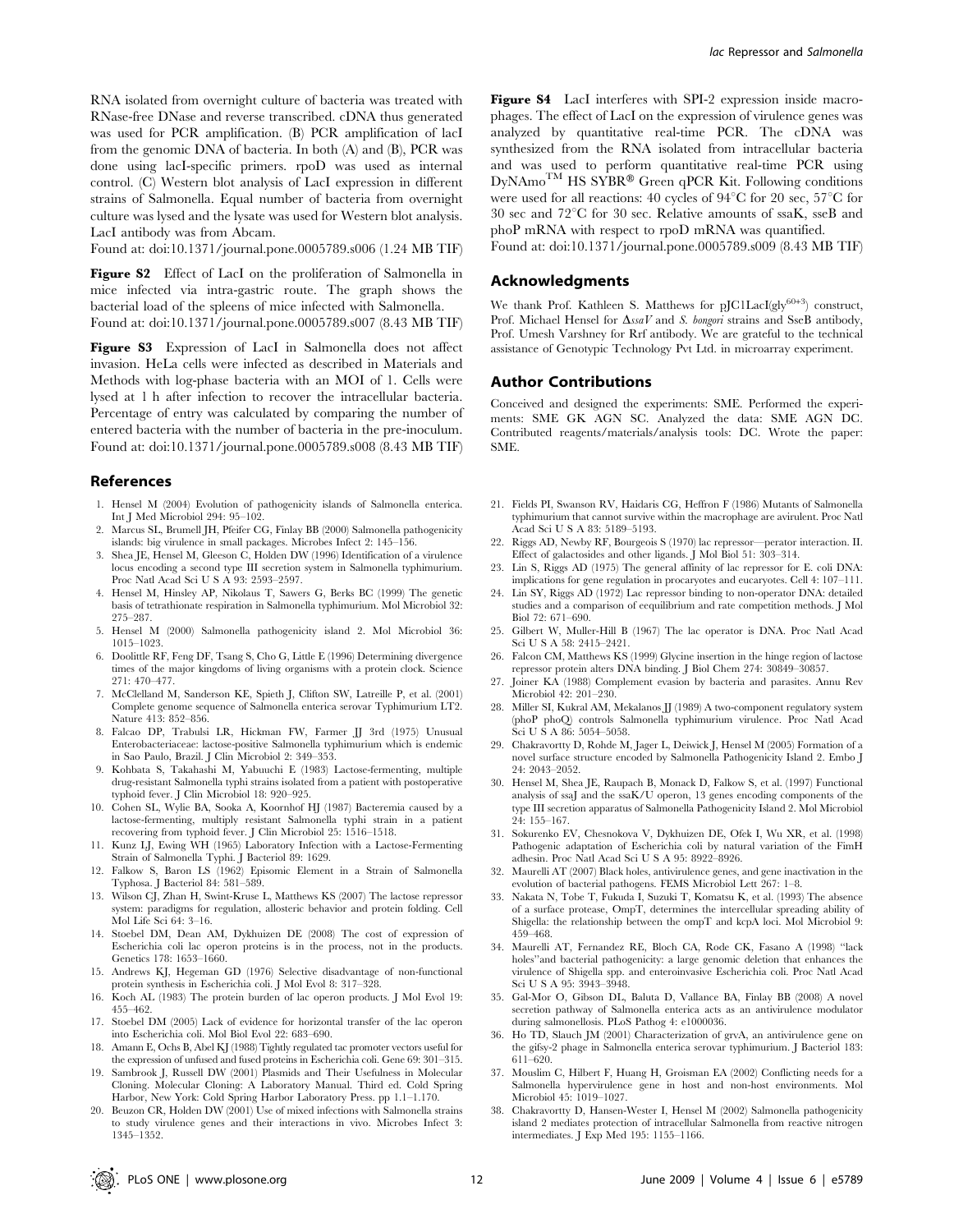RNA isolated from overnight culture of bacteria was treated with RNase-free DNase and reverse transcribed. cDNA thus generated was used for PCR amplification. (B) PCR amplification of lacI from the genomic DNA of bacteria. In both (A) and (B), PCR was done using lacI-specific primers. rpoD was used as internal control. (C) Western blot analysis of LacI expression in different strains of Salmonella. Equal number of bacteria from overnight culture was lysed and the lysate was used for Western blot analysis. LacI antibody was from Abcam.

Found at: doi:10.1371/journal.pone.0005789.s006 (1.24 MB TIF)

Figure S2 Effect of LacI on the proliferation of Salmonella in mice infected via intra-gastric route. The graph shows the bacterial load of the spleens of mice infected with Salmonella. Found at: doi:10.1371/journal.pone.0005789.s007 (8.43 MB TIF)

Figure S3 Expression of LacI in Salmonella does not affect invasion. HeLa cells were infected as described in Materials and Methods with log-phase bacteria with an MOI of 1. Cells were lysed at 1 h after infection to recover the intracellular bacteria. Percentage of entry was calculated by comparing the number of entered bacteria with the number of bacteria in the pre-inoculum. Found at: doi:10.1371/journal.pone.0005789.s008 (8.43 MB TIF)

#### References

- 1. Hensel M (2004) Evolution of pathogenicity islands of Salmonella enterica. Int J Med Microbiol 294: 95–102.
- 2. Marcus SL, Brumell JH, Pfeifer CG, Finlay BB (2000) Salmonella pathogenicity islands: big virulence in small packages. Microbes Infect 2: 145–156.
- 3. Shea JE, Hensel M, Gleeson C, Holden DW (1996) Identification of a virulence locus encoding a second type III secretion system in Salmonella typhimurium. Proc Natl Acad Sci U S A 93: 2593–2597.
- 4. Hensel M, Hinsley AP, Nikolaus T, Sawers G, Berks BC (1999) The genetic basis of tetrathionate respiration in Salmonella typhimurium. Mol Microbiol 32: 275–287.
- 5. Hensel M (2000) Salmonella pathogenicity island 2. Mol Microbiol 36: 1015–1023.
- 6. Doolittle RF, Feng DF, Tsang S, Cho G, Little E (1996) Determining divergence times of the major kingdoms of living organisms with a protein clock. Science 271: 470–477.
- 7. McClelland M, Sanderson KE, Spieth J, Clifton SW, Latreille P, et al. (2001) Complete genome sequence of Salmonella enterica serovar Typhimurium LT2. Nature 413: 852–856.
- 8. Falcao DP, Trabulsi LR, Hickman FW, Farmer JJ 3rd (1975) Unusual Enterobacteriaceae: lactose-positive Salmonella typhimurium which is endemic in Sao Paulo, Brazil. J Clin Microbiol 2: 349–353.
- 9. Kohbata S, Takahashi M, Yabuuchi E (1983) Lactose-fermenting, multiple drug-resistant Salmonella typhi strains isolated from a patient with postoperative typhoid fever. J Clin Microbiol 18: 920–925.
- 10. Cohen SL, Wylie BA, Sooka A, Koornhof HJ (1987) Bacteremia caused by a lactose-fermenting, multiply resistant Salmonella typhi strain in a patient recovering from typhoid fever. J Clin Microbiol 25: 1516–1518.
- Kunz LJ, Ewing WH (1965) Laboratory Infection with a Lactose-Fermenting Strain of Salmonella Typhi. J Bacteriol 89: 1629.
- 12. Falkow S, Baron LS (1962) Episomic Element in a Strain of Salmonella Typhosa. J Bacteriol 84: 581–589.
- 13. Wilson CJ, Zhan H, Swint-Kruse L, Matthews KS (2007) The lactose repressor system: paradigms for regulation, allosteric behavior and protein folding. Cell Mol Life Sci 64: 3–16.
- 14. Stoebel DM, Dean AM, Dykhuizen DE (2008) The cost of expression of Escherichia coli lac operon proteins is in the process, not in the products. Genetics 178: 1653–1660.
- 15. Andrews KJ, Hegeman GD (1976) Selective disadvantage of non-functional protein synthesis in Escherichia coli. J Mol Evol 8: 317–328.
- 16. Koch AL (1983) The protein burden of lac operon products. J Mol Evol 19: 455–462.
- 17. Stoebel DM (2005) Lack of evidence for horizontal transfer of the lac operon into Escherichia coli. Mol Biol Evol 22: 683–690.
- 18. Amann E, Ochs B, Abel KJ (1988) Tightly regulated tac promoter vectors useful for the expression of unfused and fused proteins in Escherichia coli. Gene 69: 301–315.
- 19. Sambrook J, Russell DW (2001) Plasmids and Their Usefulness in Molecular Cloning. Molecular Cloning: A Laboratory Manual. Third ed. Cold Spring Harbor, New York: Cold Spring Harbor Laboratory Press. pp 1.1–1.170.
- 20. Beuzon CR, Holden DW (2001) Use of mixed infections with Salmonella strains to study virulence genes and their interactions in vivo. Microbes Infect 3: 1345–1352.

Figure S4 LacI interferes with SPI-2 expression inside macrophages. The effect of LacI on the expression of virulence genes was analyzed by quantitative real-time PCR. The cDNA was synthesized from the RNA isolated from intracellular bacteria and was used to perform quantitative real-time PCR using DyNAmo<sup>TM</sup> HS SYBR<sup>®</sup> Green qPCR Kit. Following conditions were used for all reactions: 40 cycles of  $94^{\circ}$ C for 20 sec,  $57^{\circ}$ C for 30 sec and 72 $^{\circ}$ C for 30 sec. Relative amounts of ssaK, sseB and phoP mRNA with respect to rpoD mRNA was quantified. Found at: doi:10.1371/journal.pone.0005789.s009 (8.43 MB TIF)

#### Acknowledgments

We thank Prof. Kathleen S. Matthews for pJC1LacI(gly $^{60+3}$ ) construct, Prof. Michael Hensel for  $\Delta s$ saV and S. bongon strains and SseB antibody, Prof. Umesh Varshney for Rrf antibody. We are grateful to the technical assistance of Genotypic Technology Pvt Ltd. in microarray experiment.

#### Author Contributions

Conceived and designed the experiments: SME. Performed the experiments: SME GK AGN SC. Analyzed the data: SME AGN DC. Contributed reagents/materials/analysis tools: DC. Wrote the paper: SME.

- 21. Fields PI, Swanson RV, Haidaris CG, Heffron F (1986) Mutants of Salmonella typhimurium that cannot survive within the macrophage are avirulent. Proc Natl Acad Sci U S A 83: 5189–5193.
- 22. Riggs AD, Newby RF, Bourgeois S (1970) lac repressor—perator interaction. II. Effect of galactosides and other ligands. J Mol Biol 51: 303–314.
- 23. Lin S, Riggs AD (1975) The general affinity of lac repressor for E. coli DNA: implications for gene regulation in procaryotes and eucaryotes. Cell 4: 107–111.
- 24. Lin SY, Riggs AD (1972) Lac repressor binding to non-operator DNA: detailed studies and a comparison of eequilibrium and rate competition methods. J Mol Biol 72: 671–690.
- 25. Gilbert W, Muller-Hill B (1967) The lac operator is DNA. Proc Natl Acad Sci U S A 58: 2415–2421.
- 26. Falcon CM, Matthews KS (1999) Glycine insertion in the hinge region of lactose repressor protein alters DNA binding. J Biol Chem 274: 30849–30857.
- 27. Joiner KA (1988) Complement evasion by bacteria and parasites. Annu Rev Microbiol 42: 201–230.
- 28. Miller SI, Kukral AM, Mekalanos JJ (1989) A two-component regulatory system (phoP phoQ) controls Salmonella typhimurium virulence. Proc Natl Acad Sci U S A 86: 5054–5058.
- 29. Chakravortty D, Rohde M, Jager L, Deiwick J, Hensel M (2005) Formation of a novel surface structure encoded by Salmonella Pathogenicity Island 2. Embo J 24: 2043–2052.
- 30. Hensel M, Shea JE, Raupach B, Monack D, Falkow S, et al. (1997) Functional analysis of ssaJ and the ssaK/U operon, 13 genes encoding components of the type III secretion apparatus of Salmonella Pathogenicity Island 2. Mol Microbiol 24: 155–167.
- 31. Sokurenko EV, Chesnokova V, Dykhuizen DE, Ofek I, Wu XR, et al. (1998) Pathogenic adaptation of Escherichia coli by natural variation of the FimH adhesin. Proc Natl Acad Sci U S A 95: 8922–8926.
- 32. Maurelli AT (2007) Black holes, antivirulence genes, and gene inactivation in the evolution of bacterial pathogens. FEMS Microbiol Lett 267: 1–8.
- 33. Nakata N, Tobe T, Fukuda I, Suzuki T, Komatsu K, et al. (1993) The absence of a surface protease, OmpT, determines the intercellular spreading ability of Shigella: the relationship between the ompT and kcpA loci. Mol Microbiol 9: 459–468.
- 34. Maurelli AT, Fernandez RE, Bloch CA, Rode CK, Fasano A (1998) ''lack holes''and bacterial pathogenicity: a large genomic deletion that enhances the virulence of Shigella spp. and enteroinvasive Escherichia coli. Proc Natl Acad Sci U S A 95: 3943–3948.
- 35. Gal-Mor O, Gibson DL, Baluta D, Vallance BA, Finlay BB (2008) A novel secretion pathway of Salmonella enterica acts as an antivirulence modulator during salmonellosis. PLoS Pathog 4: e1000036.
- 36. Ho TD, Slauch JM (2001) Characterization of grvA, an antivirulence gene on the gifsy-2 phage in Salmonella enterica serovar typhimurium. J Bacteriol 183: 611–620.
- 37. Mouslim C, Hilbert F, Huang H, Groisman EA (2002) Conflicting needs for a Salmonella hypervirulence gene in host and non-host environments. Mol Microbiol 45: 1019–1027.
- 38. Chakravortty D, Hansen-Wester I, Hensel M (2002) Salmonella pathogenicity island 2 mediates protection of intracellular Salmonella from reactive nitrogen intermediates. J Exp Med 195: 1155–1166.